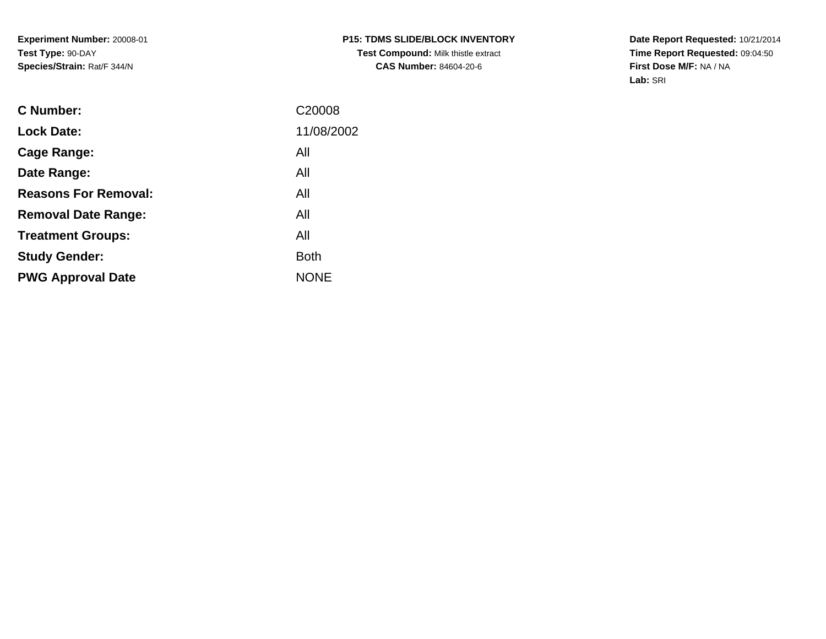**Date Report Requested:** 10/21/2014 **Time Report Requested:** 09:04:50**First Dose M/F:** NA / NA**Lab:** SRI

| <b>Lock Date:</b><br>All<br>Cage Range:<br>All<br>Date Range:<br><b>Reasons For Removal:</b><br>All<br>All<br><b>Removal Date Range:</b><br>All<br><b>Treatment Groups:</b><br><b>Both</b><br><b>Study Gender:</b><br><b>NONE</b><br><b>PWG Approval Date</b> | <b>C</b> Number: | C <sub>20008</sub> |
|---------------------------------------------------------------------------------------------------------------------------------------------------------------------------------------------------------------------------------------------------------------|------------------|--------------------|
|                                                                                                                                                                                                                                                               |                  | 11/08/2002         |
|                                                                                                                                                                                                                                                               |                  |                    |
|                                                                                                                                                                                                                                                               |                  |                    |
|                                                                                                                                                                                                                                                               |                  |                    |
|                                                                                                                                                                                                                                                               |                  |                    |
|                                                                                                                                                                                                                                                               |                  |                    |
|                                                                                                                                                                                                                                                               |                  |                    |
|                                                                                                                                                                                                                                                               |                  |                    |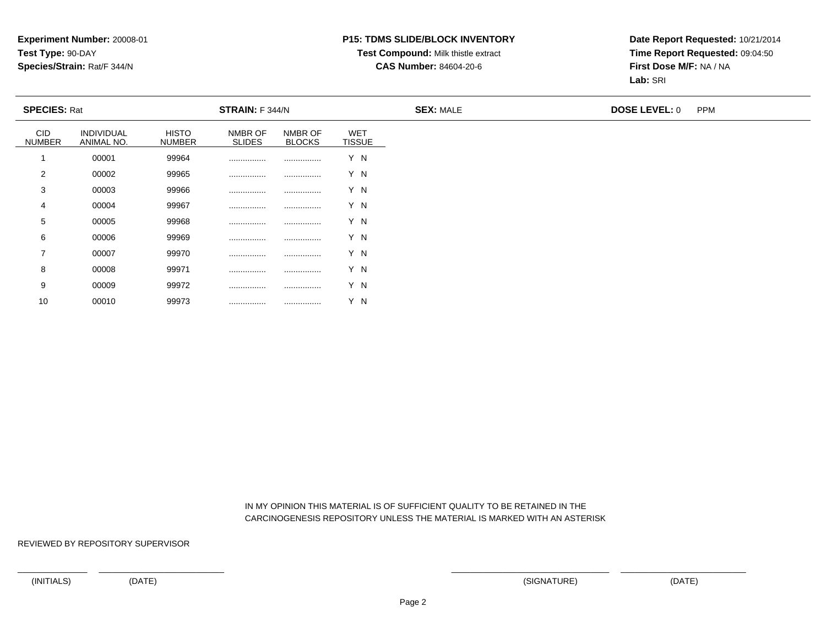#### **P15: TDMS SLIDE/BLOCK INVENTORY**

## **Test Compound:** Milk thistle extract

**CAS Number:** 84604-20-6

**Date Report Requested:** 10/21/2014**Time Report Requested:** 09:04:50**First Dose M/F:** NA / NA**Lab:** SRI

|                             | <b>SPECIES: Rat</b>      |                               | <b>STRAIN:</b> F 344/N   |                          |                             | <b>SEX: MALE</b> | <b>DOSE LEVEL: 0</b> | <b>PPM</b> |
|-----------------------------|--------------------------|-------------------------------|--------------------------|--------------------------|-----------------------------|------------------|----------------------|------------|
| <b>CID</b><br><b>NUMBER</b> | INDIVIDUAL<br>ANIMAL NO. | <b>HISTO</b><br><b>NUMBER</b> | NMBR OF<br><b>SLIDES</b> | NMBR OF<br><b>BLOCKS</b> | <b>WET</b><br><b>TISSUE</b> |                  |                      |            |
|                             | 00001                    | 99964                         |                          |                          | Y N                         |                  |                      |            |
| 2                           | 00002                    | 99965                         |                          |                          | Y N                         |                  |                      |            |
| 3                           | 00003                    | 99966                         |                          |                          | Y N                         |                  |                      |            |
| 4                           | 00004                    | 99967                         |                          |                          | Y N                         |                  |                      |            |
| 5                           | 00005                    | 99968                         |                          |                          | Y N                         |                  |                      |            |
| 6                           | 00006                    | 99969                         |                          |                          | Y N                         |                  |                      |            |
| 7                           | 00007                    | 99970                         |                          |                          | Y N                         |                  |                      |            |
| 8                           | 00008                    | 99971                         |                          |                          | Y N                         |                  |                      |            |
| 9                           | 00009                    | 99972                         |                          |                          | Y N                         |                  |                      |            |

 IN MY OPINION THIS MATERIAL IS OF SUFFICIENT QUALITY TO BE RETAINED IN THECARCINOGENESIS REPOSITORY UNLESS THE MATERIAL IS MARKED WITH AN ASTERISK

REVIEWED BY REPOSITORY SUPERVISOR

10

<sup>00010</sup> <sup>99973</sup> ................ ................ Y N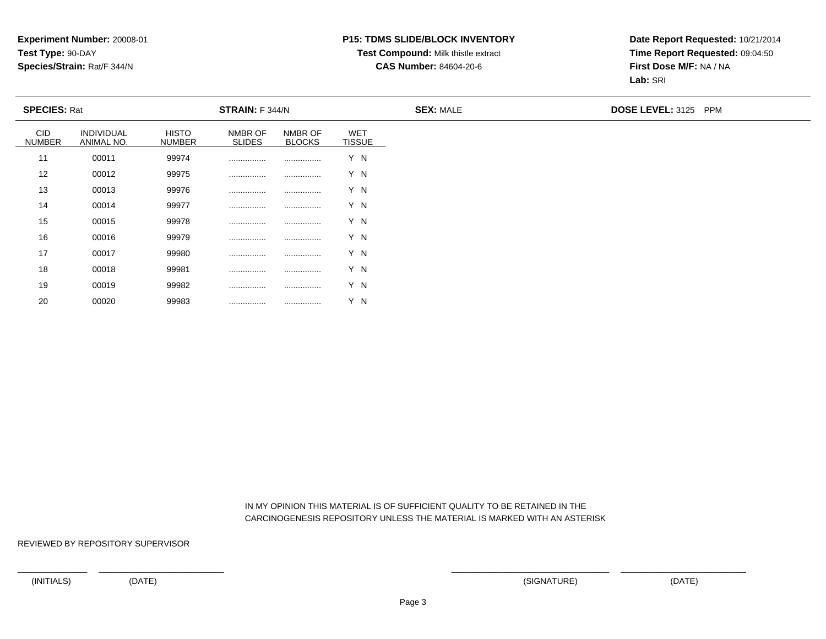### **P15: TDMS SLIDE/BLOCK INVENTORY**

## **Test Compound:** Milk thistle extract

**CAS Number:** 84604-20-6

**Date Report Requested:** 10/21/2014**Time Report Requested:** 09:04:50**First Dose M/F:** NA / NA**Lab:** SRI

| <b>SPECIES: Rat</b>         |                          |                               | STRAIN: F 344/N          |                          |                             | <b>SEX: MALE</b> | DOSE LEVEL: 3125 PPM |
|-----------------------------|--------------------------|-------------------------------|--------------------------|--------------------------|-----------------------------|------------------|----------------------|
| <b>CID</b><br><b>NUMBER</b> | INDIVIDUAL<br>ANIMAL NO. | <b>HISTO</b><br><b>NUMBER</b> | NMBR OF<br><b>SLIDES</b> | NMBR OF<br><b>BLOCKS</b> | <b>WET</b><br><b>TISSUE</b> |                  |                      |
| 11                          | 00011                    | 99974                         |                          |                          | Y N                         |                  |                      |
| 12                          | 00012                    | 99975                         |                          |                          | Y N                         |                  |                      |
| 13                          | 00013                    | 99976                         |                          |                          | Y N                         |                  |                      |
| 14                          | 00014                    | 99977                         |                          |                          | Y N                         |                  |                      |
| 15                          | 00015                    | 99978                         |                          |                          | Y N                         |                  |                      |
| 16                          | 00016                    | 99979                         |                          |                          | Y N                         |                  |                      |
| 17                          | 00017                    | 99980                         |                          |                          | Y N                         |                  |                      |
| 18                          | 00018                    | 99981                         |                          |                          | Y N                         |                  |                      |
| 19                          | 00019                    | 99982                         |                          |                          | Y N                         |                  |                      |

 IN MY OPINION THIS MATERIAL IS OF SUFFICIENT QUALITY TO BE RETAINED IN THECARCINOGENESIS REPOSITORY UNLESS THE MATERIAL IS MARKED WITH AN ASTERISK

REVIEWED BY REPOSITORY SUPERVISOR

<sup>00020</sup> <sup>99983</sup> ................ ................ Y N

20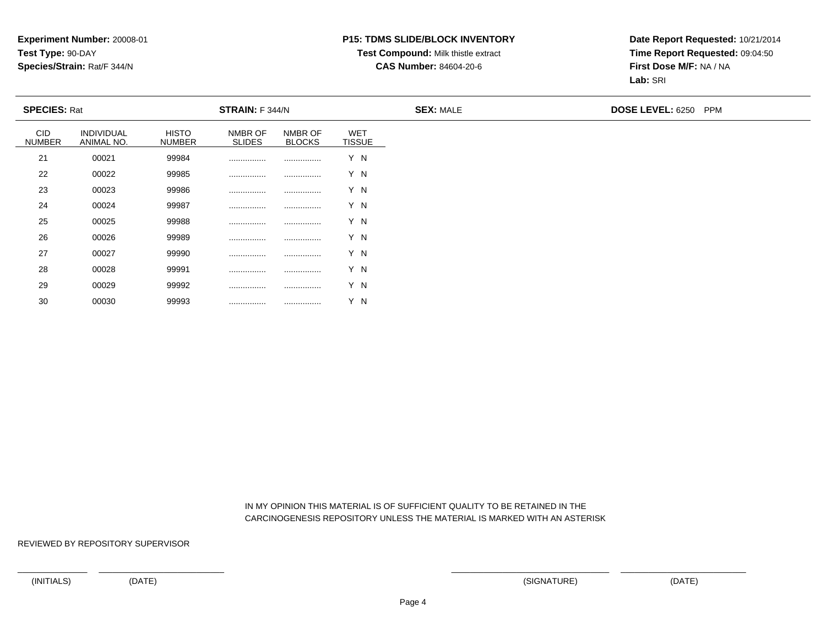### **P15: TDMS SLIDE/BLOCK INVENTORY**

# **Test Compound:** Milk thistle extract

**CAS Number:** 84604-20-6

**Date Report Requested:** 10/21/2014**Time Report Requested:** 09:04:50**First Dose M/F:** NA / NA**Lab:** SRI

| <b>SPECIES: Rat</b>         |                          |                        | STRAIN: F 344/N          |                          |                             | <b>SEX: MALE</b> | <b>DOSE LEVEL: 6250 PPM</b> |
|-----------------------------|--------------------------|------------------------|--------------------------|--------------------------|-----------------------------|------------------|-----------------------------|
| <b>CID</b><br><b>NUMBER</b> | INDIVIDUAL<br>ANIMAL NO. | HISTO<br><b>NUMBER</b> | NMBR OF<br><b>SLIDES</b> | NMBR OF<br><b>BLOCKS</b> | <b>WET</b><br><b>TISSUE</b> |                  |                             |
| 21                          | 00021                    | 99984                  |                          |                          | Y N                         |                  |                             |
| 22                          | 00022                    | 99985                  |                          |                          | Y N                         |                  |                             |
| 23                          | 00023                    | 99986                  |                          |                          | Y N                         |                  |                             |
| 24                          | 00024                    | 99987                  |                          |                          | Y N                         |                  |                             |
| 25                          | 00025                    | 99988                  |                          |                          | Y N                         |                  |                             |
| 26                          | 00026                    | 99989                  |                          |                          | Y N                         |                  |                             |
| 27                          | 00027                    | 99990                  |                          |                          | Y N                         |                  |                             |
| 28                          | 00028                    | 99991                  |                          |                          | Y N                         |                  |                             |
| 29                          | 00029                    | 99992                  | .                        |                          | Y N                         |                  |                             |

 IN MY OPINION THIS MATERIAL IS OF SUFFICIENT QUALITY TO BE RETAINED IN THECARCINOGENESIS REPOSITORY UNLESS THE MATERIAL IS MARKED WITH AN ASTERISK

REVIEWED BY REPOSITORY SUPERVISOR

30

<sup>00030</sup> <sup>99993</sup> ................ ................ Y N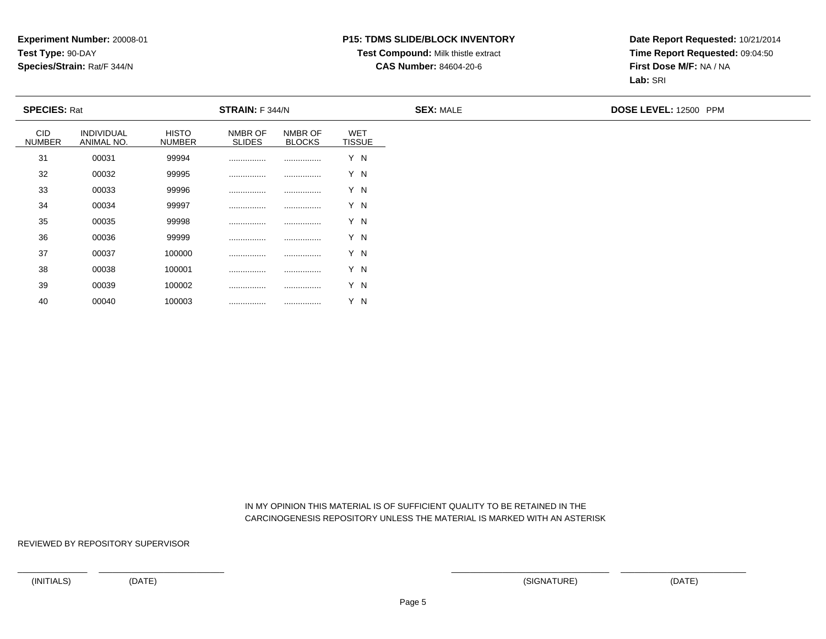### **P15: TDMS SLIDE/BLOCK INVENTORY**

# **Test Compound:** Milk thistle extract

**CAS Number:** 84604-20-6

**Date Report Requested:** 10/21/2014**Time Report Requested:** 09:04:50**First Dose M/F:** NA / NA**Lab:** SRI

| <b>SPECIES: Rat</b>         |                          |                               | STRAIN: F 344/N          |                          |                             | <b>SEX: MALE</b> | DOSE LEVEL: 12500 PPM |
|-----------------------------|--------------------------|-------------------------------|--------------------------|--------------------------|-----------------------------|------------------|-----------------------|
| <b>CID</b><br><b>NUMBER</b> | INDIVIDUAL<br>ANIMAL NO. | <b>HISTO</b><br><b>NUMBER</b> | NMBR OF<br><b>SLIDES</b> | NMBR OF<br><b>BLOCKS</b> | <b>WET</b><br><b>TISSUE</b> |                  |                       |
| 31                          | 00031                    | 99994                         |                          |                          | Y N                         |                  |                       |
| 32                          | 00032                    | 99995                         |                          |                          | Y N                         |                  |                       |
| 33                          | 00033                    | 99996                         |                          |                          | Y N                         |                  |                       |
| 34                          | 00034                    | 99997                         |                          |                          | Y N                         |                  |                       |
| 35                          | 00035                    | 99998                         |                          |                          | Y N                         |                  |                       |
| 36                          | 00036                    | 99999                         |                          |                          | Y N                         |                  |                       |
| 37                          | 00037                    | 100000                        |                          |                          | Y N                         |                  |                       |
| 38                          | 00038                    | 100001                        |                          |                          | Y N                         |                  |                       |
| 39                          | 00039                    | 100002                        |                          |                          | Y N                         |                  |                       |

 IN MY OPINION THIS MATERIAL IS OF SUFFICIENT QUALITY TO BE RETAINED IN THECARCINOGENESIS REPOSITORY UNLESS THE MATERIAL IS MARKED WITH AN ASTERISK

REVIEWED BY REPOSITORY SUPERVISOR

40

<sup>00040</sup> <sup>100003</sup> ................ ................ Y N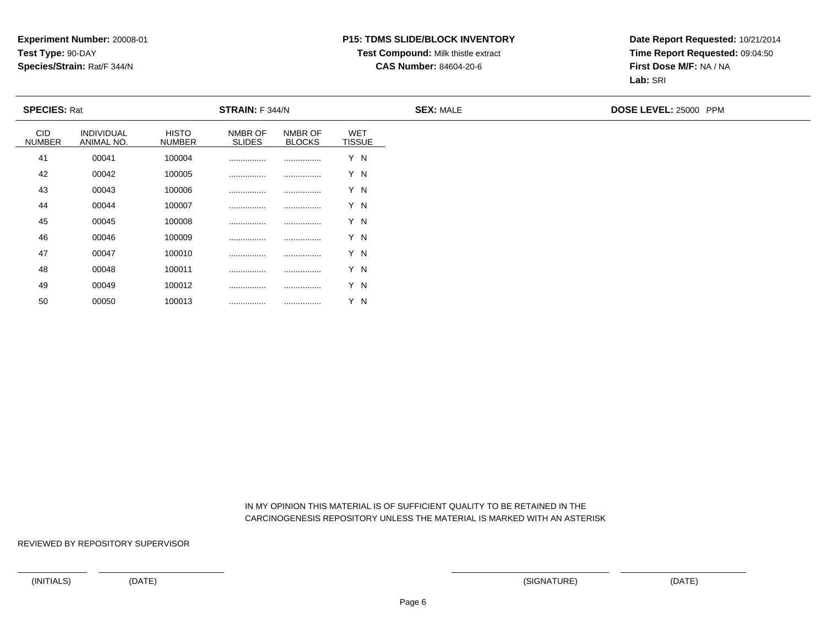### **P15: TDMS SLIDE/BLOCK INVENTORY**

## **Test Compound:** Milk thistle extract

**CAS Number:** 84604-20-6

**Date Report Requested:** 10/21/2014**Time Report Requested:** 09:04:50**First Dose M/F:** NA / NA**Lab:** SRI

| <b>SPECIES: Rat</b>  |                          |                               | STRAIN: F 344/N          |                          |                             | <b>SEX: MALE</b> | DOSE LEVEL: 25000 PPM |
|----------------------|--------------------------|-------------------------------|--------------------------|--------------------------|-----------------------------|------------------|-----------------------|
| CID<br><b>NUMBER</b> | INDIVIDUAL<br>ANIMAL NO. | <b>HISTO</b><br><b>NUMBER</b> | NMBR OF<br><b>SLIDES</b> | NMBR OF<br><b>BLOCKS</b> | <b>WET</b><br><b>TISSUE</b> |                  |                       |
| 41                   | 00041                    | 100004                        |                          |                          | Y N                         |                  |                       |
| 42                   | 00042                    | 100005                        |                          |                          | Y N                         |                  |                       |
| 43                   | 00043                    | 100006                        |                          |                          | Y N                         |                  |                       |
| 44                   | 00044                    | 100007                        |                          |                          | Y N                         |                  |                       |
| 45                   | 00045                    | 100008                        |                          |                          | Y N                         |                  |                       |
| 46                   | 00046                    | 100009                        |                          |                          | Y N                         |                  |                       |
| 47                   | 00047                    | 100010                        |                          |                          | Y N                         |                  |                       |
| 48                   | 00048                    | 100011                        |                          |                          | Y N                         |                  |                       |
| 49                   | 00049                    | 100012                        |                          |                          | Y N                         |                  |                       |

 IN MY OPINION THIS MATERIAL IS OF SUFFICIENT QUALITY TO BE RETAINED IN THECARCINOGENESIS REPOSITORY UNLESS THE MATERIAL IS MARKED WITH AN ASTERISK

REVIEWED BY REPOSITORY SUPERVISOR

50

<sup>00050</sup> <sup>100013</sup> ................ ................ Y N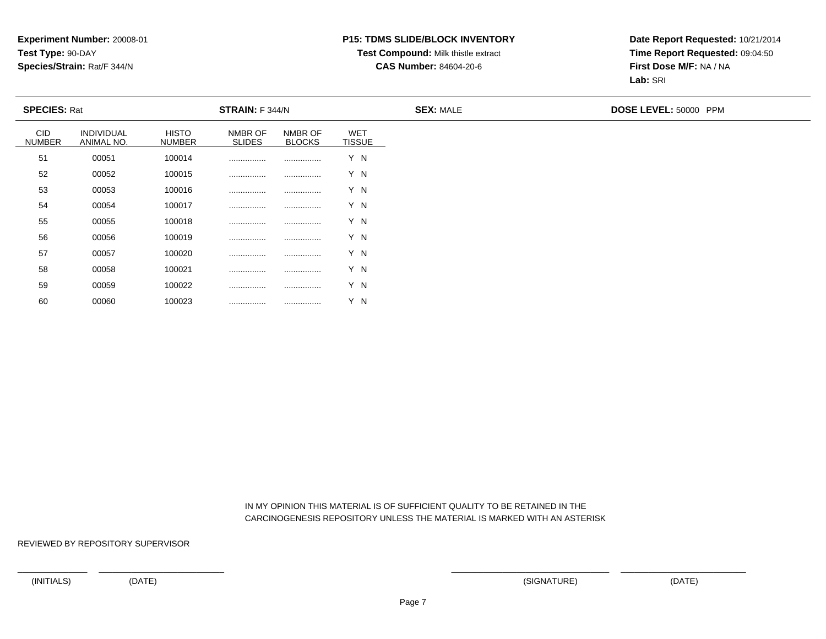### **P15: TDMS SLIDE/BLOCK INVENTORY**

### **Test Compound:** Milk thistle extract

**CAS Number:** 84604-20-6

**Date Report Requested:** 10/21/2014**Time Report Requested:** 09:04:50**First Dose M/F:** NA / NA**Lab:** SRI

| <b>SPECIES: Rat</b>  |                          |                               | <b>STRAIN:</b> F 344/N   |                          |                             | <b>SEX: MALE</b> | DOSE LEVEL: 50000 PPM |
|----------------------|--------------------------|-------------------------------|--------------------------|--------------------------|-----------------------------|------------------|-----------------------|
| CID<br><b>NUMBER</b> | INDIVIDUAL<br>ANIMAL NO. | <b>HISTO</b><br><b>NUMBER</b> | NMBR OF<br><b>SLIDES</b> | NMBR OF<br><b>BLOCKS</b> | <b>WET</b><br><b>TISSUE</b> |                  |                       |
| 51                   | 00051                    | 100014                        |                          |                          | Y N                         |                  |                       |
| 52                   | 00052                    | 100015                        |                          |                          | Y N                         |                  |                       |
| 53                   | 00053                    | 100016                        |                          |                          | Y N                         |                  |                       |
| 54                   | 00054                    | 100017                        |                          |                          | Y N                         |                  |                       |
| 55                   | 00055                    | 100018                        |                          |                          | Y N                         |                  |                       |
| 56                   | 00056                    | 100019                        |                          |                          | Y N                         |                  |                       |
| 57                   | 00057                    | 100020                        |                          |                          | Y N                         |                  |                       |
| 58                   | 00058                    | 100021                        |                          |                          | Y N                         |                  |                       |
| 59                   | 00059                    | 100022                        |                          |                          | Y N                         |                  |                       |

 IN MY OPINION THIS MATERIAL IS OF SUFFICIENT QUALITY TO BE RETAINED IN THECARCINOGENESIS REPOSITORY UNLESS THE MATERIAL IS MARKED WITH AN ASTERISK

REVIEWED BY REPOSITORY SUPERVISOR

60

<sup>00060</sup> <sup>100023</sup> ................ ................ Y N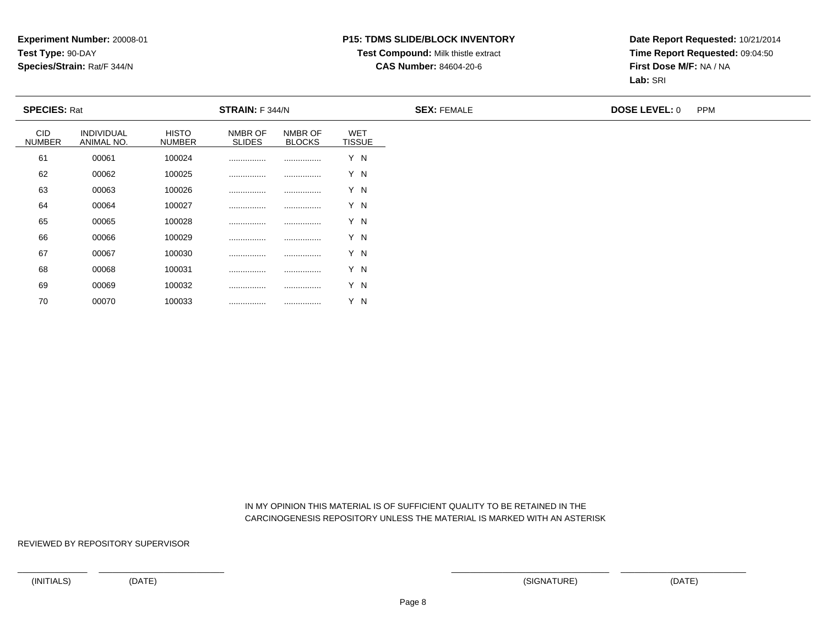#### **P15: TDMS SLIDE/BLOCK INVENTORY**

#### **Test Compound:** Milk thistle extract

**CAS Number:** 84604-20-6

**Date Report Requested:** 10/21/2014**Time Report Requested:** 09:04:50**First Dose M/F:** NA / NA**Lab:** SRI

| <b>SPECIES: Rat</b>         |                          |                               | <b>STRAIN:</b> F 344/N   |                          |                             | <b>SEX: FEMALE</b> | <b>DOSE LEVEL: 0</b> | <b>PPM</b> |
|-----------------------------|--------------------------|-------------------------------|--------------------------|--------------------------|-----------------------------|--------------------|----------------------|------------|
| <b>CID</b><br><b>NUMBER</b> | INDIVIDUAL<br>ANIMAL NO. | <b>HISTO</b><br><b>NUMBER</b> | NMBR OF<br><b>SLIDES</b> | NMBR OF<br><b>BLOCKS</b> | <b>WET</b><br><b>TISSUE</b> |                    |                      |            |
| 61                          | 00061                    | 100024                        |                          |                          | Y N                         |                    |                      |            |
| 62                          | 00062                    | 100025                        |                          |                          | Y N                         |                    |                      |            |
| 63                          | 00063                    | 100026                        |                          |                          | Y N                         |                    |                      |            |
| 64                          | 00064                    | 100027                        |                          |                          | Y N                         |                    |                      |            |
| 65                          | 00065                    | 100028                        |                          |                          | Y N                         |                    |                      |            |
| 66                          | 00066                    | 100029                        |                          |                          | Y N                         |                    |                      |            |
| 67                          | 00067                    | 100030                        |                          |                          | Y N                         |                    |                      |            |
| 68                          | 00068                    | 100031                        |                          |                          | Y N                         |                    |                      |            |
| 69                          | 00069                    | 100032                        |                          |                          | Y N                         |                    |                      |            |

 IN MY OPINION THIS MATERIAL IS OF SUFFICIENT QUALITY TO BE RETAINED IN THECARCINOGENESIS REPOSITORY UNLESS THE MATERIAL IS MARKED WITH AN ASTERISK

REVIEWED BY REPOSITORY SUPERVISOR

70

<sup>00070</sup> <sup>100033</sup> ................ ................ Y N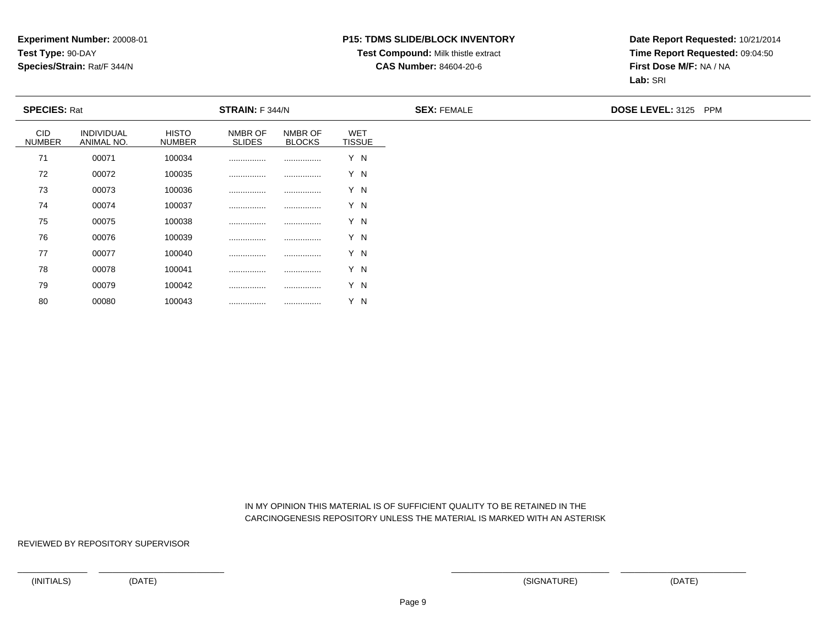### **P15: TDMS SLIDE/BLOCK INVENTORY**

## **Test Compound:** Milk thistle extract

**CAS Number:** 84604-20-6

**Date Report Requested:** 10/21/2014**Time Report Requested:** 09:04:50**First Dose M/F:** NA / NA**Lab:** SRI

| <b>SPECIES: Rat</b>         |                                 |                               | STRAIN: F 344/N          |                          |                             | <b>SEX: FEMALE</b> | <b>DOSE LEVEL: 3125 PPM</b> |
|-----------------------------|---------------------------------|-------------------------------|--------------------------|--------------------------|-----------------------------|--------------------|-----------------------------|
| <b>CID</b><br><b>NUMBER</b> | <b>INDIVIDUAL</b><br>ANIMAL NO. | <b>HISTO</b><br><b>NUMBER</b> | NMBR OF<br><b>SLIDES</b> | NMBR OF<br><b>BLOCKS</b> | <b>WET</b><br><b>TISSUE</b> |                    |                             |
| 71                          | 00071                           | 100034                        |                          |                          | Y N                         |                    |                             |
| 72                          | 00072                           | 100035                        |                          |                          | Y N                         |                    |                             |
| 73                          | 00073                           | 100036                        |                          |                          | Y N                         |                    |                             |
| 74                          | 00074                           | 100037                        |                          |                          | Y N                         |                    |                             |
| 75                          | 00075                           | 100038                        |                          |                          | Y N                         |                    |                             |
| 76                          | 00076                           | 100039                        |                          |                          | Y N                         |                    |                             |
| 77                          | 00077                           | 100040                        |                          |                          | Y N                         |                    |                             |
| 78                          | 00078                           | 100041                        |                          |                          | Y N                         |                    |                             |
| 79                          | 00079                           | 100042                        |                          |                          | Y N                         |                    |                             |

 IN MY OPINION THIS MATERIAL IS OF SUFFICIENT QUALITY TO BE RETAINED IN THECARCINOGENESIS REPOSITORY UNLESS THE MATERIAL IS MARKED WITH AN ASTERISK

REVIEWED BY REPOSITORY SUPERVISOR

<sup>00080</sup> <sup>100043</sup> ................ ................ Y N

80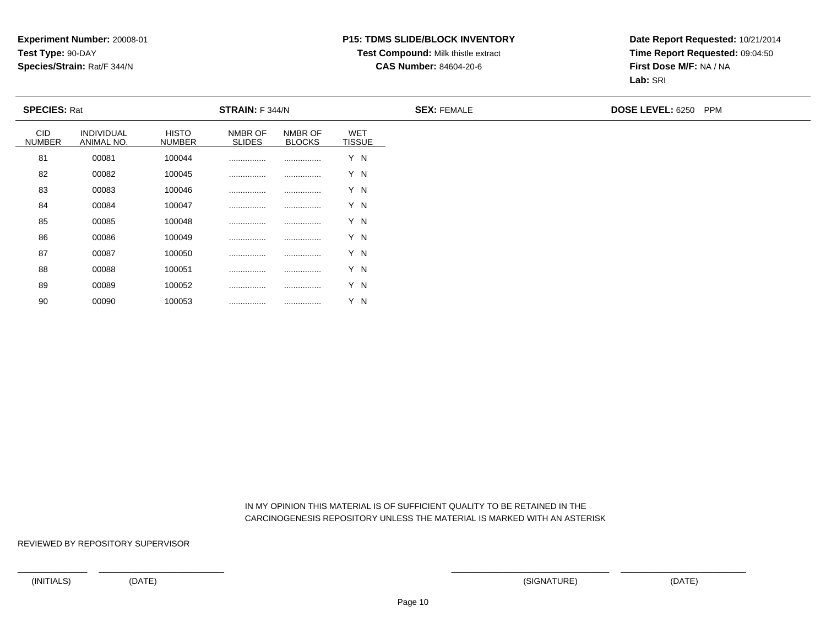#### **P15: TDMS SLIDE/BLOCK INVENTORY**

### **Test Compound:** Milk thistle extract

**CAS Number:** 84604-20-6

**Date Report Requested:** 10/21/2014**Time Report Requested:** 09:04:50**First Dose M/F:** NA / NA**Lab:** SRI

| <b>SPECIES: Rat</b>         |                          |                               | STRAIN: F 344/N          |                          |                             | <b>SEX: FEMALE</b> | DOSE LEVEL: 6250 PPM |
|-----------------------------|--------------------------|-------------------------------|--------------------------|--------------------------|-----------------------------|--------------------|----------------------|
| <b>CID</b><br><b>NUMBER</b> | INDIVIDUAL<br>ANIMAL NO. | <b>HISTO</b><br><b>NUMBER</b> | NMBR OF<br><b>SLIDES</b> | NMBR OF<br><b>BLOCKS</b> | <b>WET</b><br><b>TISSUE</b> |                    |                      |
| 81                          | 00081                    | 100044                        |                          |                          | Y N                         |                    |                      |
| 82                          | 00082                    | 100045                        |                          |                          | Y N                         |                    |                      |
| 83                          | 00083                    | 100046                        |                          |                          | Y N                         |                    |                      |
| 84                          | 00084                    | 100047                        |                          |                          | Y N                         |                    |                      |
| 85                          | 00085                    | 100048                        |                          |                          | Y N                         |                    |                      |
| 86                          | 00086                    | 100049                        |                          |                          | Y N                         |                    |                      |
| 87                          | 00087                    | 100050                        |                          |                          | Y N                         |                    |                      |
| 88                          | 00088                    | 100051                        |                          |                          | Y N                         |                    |                      |
| 89                          | 00089                    | 100052                        |                          |                          | Y N                         |                    |                      |

 IN MY OPINION THIS MATERIAL IS OF SUFFICIENT QUALITY TO BE RETAINED IN THECARCINOGENESIS REPOSITORY UNLESS THE MATERIAL IS MARKED WITH AN ASTERISK

REVIEWED BY REPOSITORY SUPERVISOR

<sup>00090</sup> <sup>100053</sup> ................ ................ Y N

90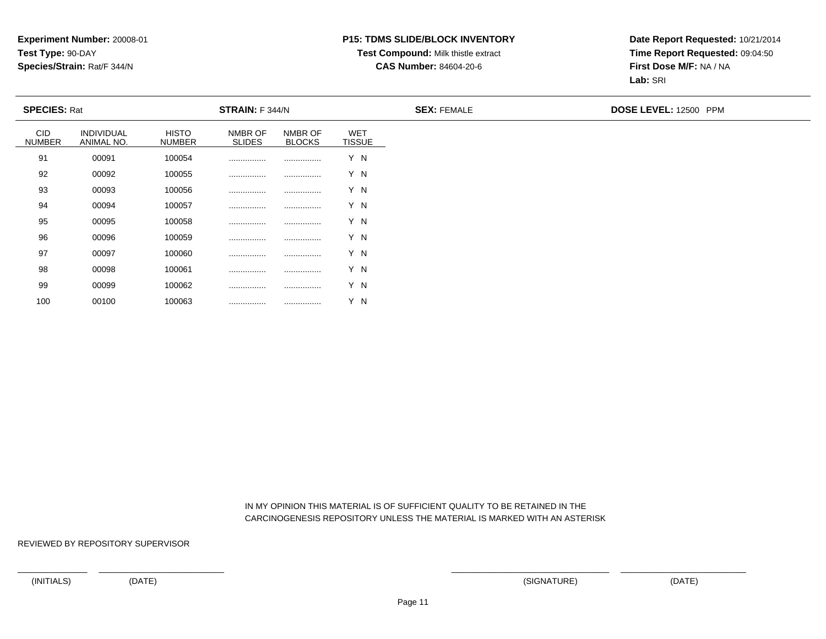### **P15: TDMS SLIDE/BLOCK INVENTORY**

## **Test Compound:** Milk thistle extract

**CAS Number:** 84604-20-6

**Date Report Requested:** 10/21/2014**Time Report Requested:** 09:04:50**First Dose M/F:** NA / NA**Lab:** SRI

|                             | <b>SPECIES: Rat</b><br>STRAIN: F 344/N |                               |                          |                          | <b>SEX: FEMALE</b>          | DOSE LEVEL: 12500 PPM |  |
|-----------------------------|----------------------------------------|-------------------------------|--------------------------|--------------------------|-----------------------------|-----------------------|--|
| <b>CID</b><br><b>NUMBER</b> | <b>INDIVIDUAL</b><br>ANIMAL NO.        | <b>HISTO</b><br><b>NUMBER</b> | NMBR OF<br><b>SLIDES</b> | NMBR OF<br><b>BLOCKS</b> | <b>WET</b><br><b>TISSUE</b> |                       |  |
| 91                          | 00091                                  | 100054                        |                          |                          | Y N                         |                       |  |
| 92                          | 00092                                  | 100055                        |                          |                          | Y N                         |                       |  |
| 93                          | 00093                                  | 100056                        |                          |                          | Y N                         |                       |  |
| 94                          | 00094                                  | 100057                        |                          |                          | Y N                         |                       |  |
| 95                          | 00095                                  | 100058                        |                          |                          | Y N                         |                       |  |
| 96                          | 00096                                  | 100059                        |                          |                          | Y N                         |                       |  |
| 97                          | 00097                                  | 100060                        |                          |                          | Y N                         |                       |  |
| 98                          | 00098                                  | 100061                        |                          |                          | Y N                         |                       |  |
| 99                          | 00099                                  | 100062                        |                          |                          | Y N                         |                       |  |

 IN MY OPINION THIS MATERIAL IS OF SUFFICIENT QUALITY TO BE RETAINED IN THECARCINOGENESIS REPOSITORY UNLESS THE MATERIAL IS MARKED WITH AN ASTERISK

REVIEWED BY REPOSITORY SUPERVISOR

<sup>00100</sup> <sup>100063</sup> ................ ................ Y N

100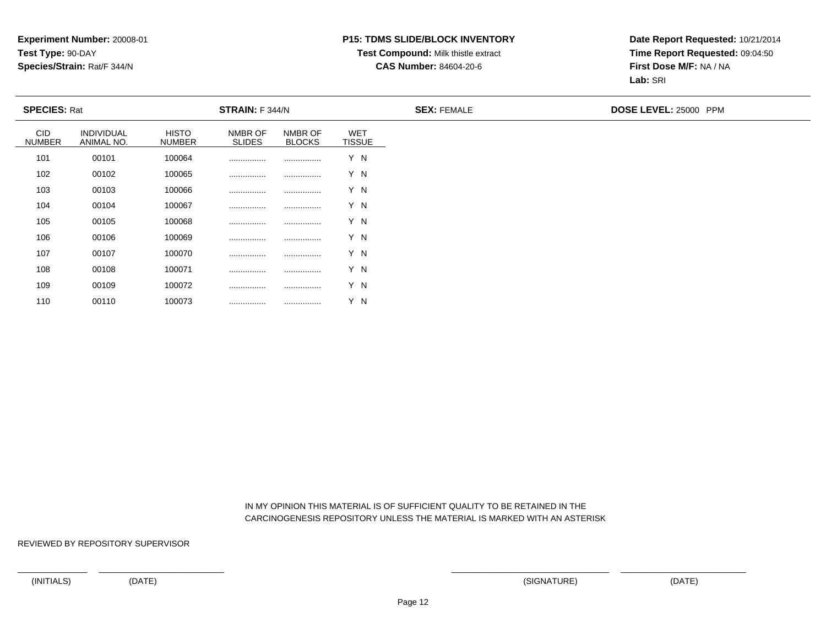#### **P15: TDMS SLIDE/BLOCK INVENTORY**

### **Test Compound:** Milk thistle extract

**CAS Number:** 84604-20-6

**Date Report Requested:** 10/21/2014**Time Report Requested:** 09:04:50**First Dose M/F:** NA / NA**Lab:** SRI

|                      | <b>SPECIES: Rat</b><br>STRAIN: F 344/N |                        |                          |                          | <b>SEX: FEMALE</b>          | DOSE LEVEL: 25000 PPM |  |
|----------------------|----------------------------------------|------------------------|--------------------------|--------------------------|-----------------------------|-----------------------|--|
| CID<br><b>NUMBER</b> | <b>INDIVIDUAL</b><br>ANIMAL NO.        | HISTO<br><b>NUMBER</b> | NMBR OF<br><b>SLIDES</b> | NMBR OF<br><b>BLOCKS</b> | <b>WET</b><br><b>TISSUE</b> |                       |  |
| 101                  | 00101                                  | 100064                 |                          |                          | Y N                         |                       |  |
| 102                  | 00102                                  | 100065                 |                          |                          | Y N                         |                       |  |
| 103                  | 00103                                  | 100066                 |                          |                          | Y N                         |                       |  |
| 104                  | 00104                                  | 100067                 |                          |                          | Y N                         |                       |  |
| 105                  | 00105                                  | 100068                 |                          |                          | Y N                         |                       |  |
| 106                  | 00106                                  | 100069                 |                          |                          | Y N                         |                       |  |
| 107                  | 00107                                  | 100070                 |                          |                          | Y N                         |                       |  |
| 108                  | 00108                                  | 100071                 |                          |                          | Y N                         |                       |  |
| 109                  | 00109                                  | 100072                 |                          |                          | Y N                         |                       |  |

 IN MY OPINION THIS MATERIAL IS OF SUFFICIENT QUALITY TO BE RETAINED IN THECARCINOGENESIS REPOSITORY UNLESS THE MATERIAL IS MARKED WITH AN ASTERISK

REVIEWED BY REPOSITORY SUPERVISOR

<sup>00110</sup> <sup>100073</sup> ................ ................ Y N

110